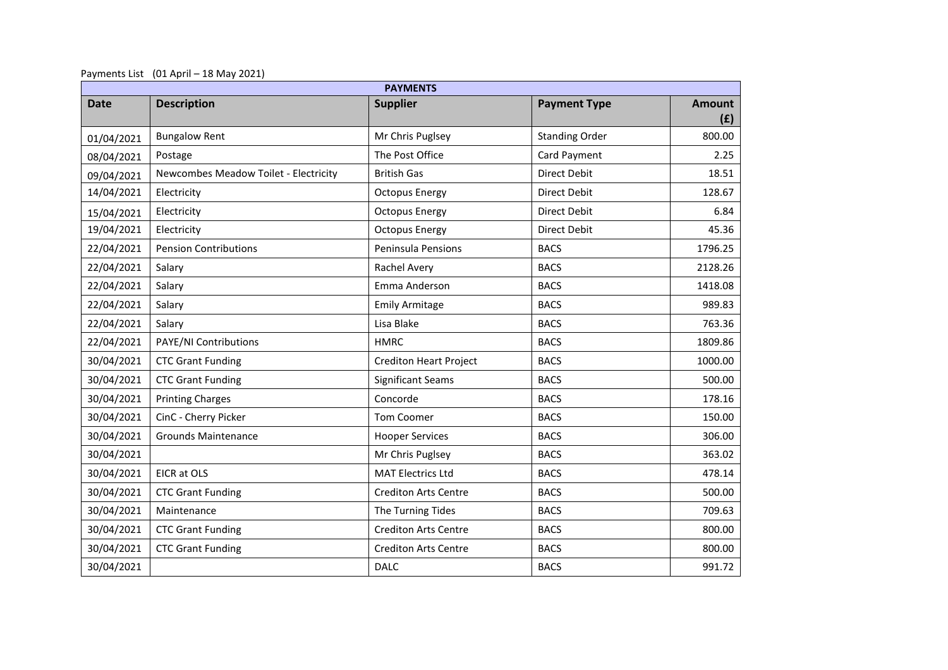Payments List (01 April – 18 May 2021)

| <b>PAYMENTS</b> |                                       |                               |                       |                      |  |  |  |
|-----------------|---------------------------------------|-------------------------------|-----------------------|----------------------|--|--|--|
| <b>Date</b>     | <b>Description</b>                    | <b>Supplier</b>               | <b>Payment Type</b>   | <b>Amount</b><br>(f) |  |  |  |
| 01/04/2021      | <b>Bungalow Rent</b>                  | Mr Chris Puglsey              | <b>Standing Order</b> | 800.00               |  |  |  |
| 08/04/2021      | Postage                               | The Post Office               | Card Payment          | 2.25                 |  |  |  |
| 09/04/2021      | Newcombes Meadow Toilet - Electricity | <b>British Gas</b>            | Direct Debit          | 18.51                |  |  |  |
| 14/04/2021      | Electricity                           | <b>Octopus Energy</b>         | Direct Debit          | 128.67               |  |  |  |
| 15/04/2021      | Electricity                           | <b>Octopus Energy</b>         | Direct Debit          | 6.84                 |  |  |  |
| 19/04/2021      | Electricity                           | <b>Octopus Energy</b>         | <b>Direct Debit</b>   | 45.36                |  |  |  |
| 22/04/2021      | <b>Pension Contributions</b>          | Peninsula Pensions            | <b>BACS</b>           | 1796.25              |  |  |  |
| 22/04/2021      | Salary                                | Rachel Avery                  | <b>BACS</b>           | 2128.26              |  |  |  |
| 22/04/2021      | Salary                                | Emma Anderson                 | <b>BACS</b>           | 1418.08              |  |  |  |
| 22/04/2021      | Salary                                | <b>Emily Armitage</b>         | <b>BACS</b>           | 989.83               |  |  |  |
| 22/04/2021      | Salary                                | Lisa Blake                    | <b>BACS</b>           | 763.36               |  |  |  |
| 22/04/2021      | PAYE/NI Contributions                 | <b>HMRC</b>                   | <b>BACS</b>           | 1809.86              |  |  |  |
| 30/04/2021      | <b>CTC Grant Funding</b>              | <b>Crediton Heart Project</b> | <b>BACS</b>           | 1000.00              |  |  |  |
| 30/04/2021      | <b>CTC Grant Funding</b>              | <b>Significant Seams</b>      | <b>BACS</b>           | 500.00               |  |  |  |
| 30/04/2021      | <b>Printing Charges</b>               | Concorde                      | <b>BACS</b>           | 178.16               |  |  |  |
| 30/04/2021      | CinC - Cherry Picker                  | <b>Tom Coomer</b>             | <b>BACS</b>           | 150.00               |  |  |  |
| 30/04/2021      | <b>Grounds Maintenance</b>            | <b>Hooper Services</b>        | <b>BACS</b>           | 306.00               |  |  |  |
| 30/04/2021      |                                       | Mr Chris Puglsey              | <b>BACS</b>           | 363.02               |  |  |  |
| 30/04/2021      | EICR at OLS                           | <b>MAT Electrics Ltd</b>      | <b>BACS</b>           | 478.14               |  |  |  |
| 30/04/2021      | <b>CTC Grant Funding</b>              | <b>Crediton Arts Centre</b>   | <b>BACS</b>           | 500.00               |  |  |  |
| 30/04/2021      | Maintenance                           | The Turning Tides             | <b>BACS</b>           | 709.63               |  |  |  |
| 30/04/2021      | <b>CTC Grant Funding</b>              | <b>Crediton Arts Centre</b>   | <b>BACS</b>           | 800.00               |  |  |  |
| 30/04/2021      | <b>CTC Grant Funding</b>              | <b>Crediton Arts Centre</b>   | <b>BACS</b>           | 800.00               |  |  |  |
| 30/04/2021      |                                       | <b>DALC</b>                   | <b>BACS</b>           | 991.72               |  |  |  |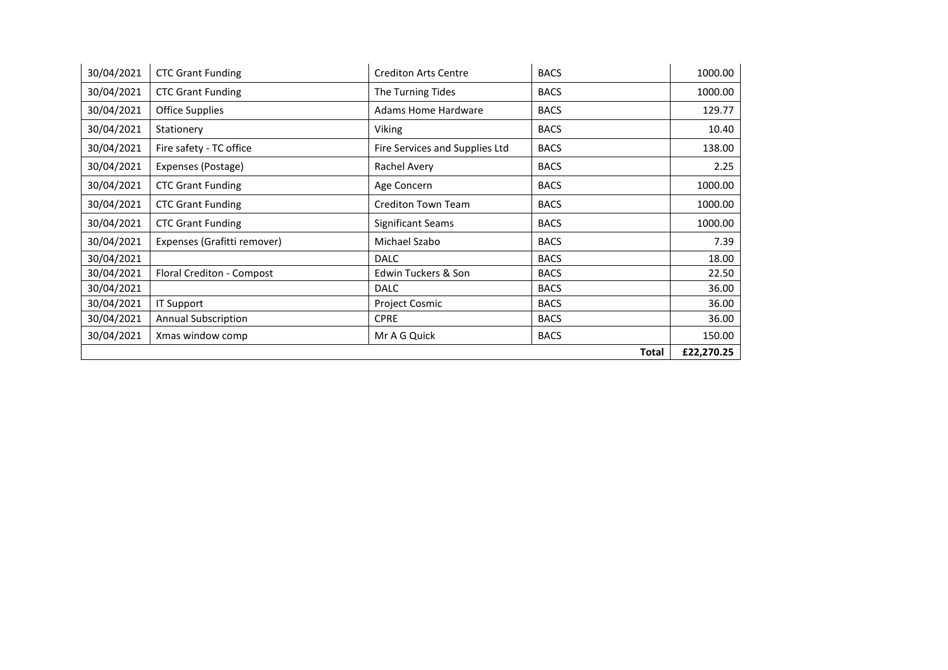| 30/04/2021 | <b>CTC Grant Funding</b>    | <b>Crediton Arts Centre</b>    | <b>BACS</b>  | 1000.00    |
|------------|-----------------------------|--------------------------------|--------------|------------|
| 30/04/2021 | <b>CTC Grant Funding</b>    | The Turning Tides              | <b>BACS</b>  | 1000.00    |
| 30/04/2021 | <b>Office Supplies</b>      | <b>Adams Home Hardware</b>     | <b>BACS</b>  | 129.77     |
| 30/04/2021 | Stationery                  | Viking                         | <b>BACS</b>  | 10.40      |
| 30/04/2021 | Fire safety - TC office     | Fire Services and Supplies Ltd | <b>BACS</b>  | 138.00     |
| 30/04/2021 | Expenses (Postage)          | Rachel Avery                   | <b>BACS</b>  | 2.25       |
| 30/04/2021 | <b>CTC Grant Funding</b>    | Age Concern                    | <b>BACS</b>  | 1000.00    |
| 30/04/2021 | <b>CTC Grant Funding</b>    | Crediton Town Team             | <b>BACS</b>  | 1000.00    |
| 30/04/2021 | <b>CTC Grant Funding</b>    | Significant Seams              | <b>BACS</b>  | 1000.00    |
| 30/04/2021 | Expenses (Grafitti remover) | Michael Szabo                  | <b>BACS</b>  | 7.39       |
| 30/04/2021 |                             | <b>DALC</b>                    | <b>BACS</b>  | 18.00      |
| 30/04/2021 | Floral Crediton - Compost   | Edwin Tuckers & Son            | <b>BACS</b>  | 22.50      |
| 30/04/2021 |                             | <b>DALC</b>                    | <b>BACS</b>  | 36.00      |
| 30/04/2021 | IT Support                  | <b>Project Cosmic</b>          | <b>BACS</b>  | 36.00      |
| 30/04/2021 | <b>Annual Subscription</b>  | <b>CPRE</b>                    | <b>BACS</b>  | 36.00      |
| 30/04/2021 | Xmas window comp            | Mr A G Quick                   | <b>BACS</b>  | 150.00     |
|            |                             |                                | <b>Total</b> | £22,270.25 |